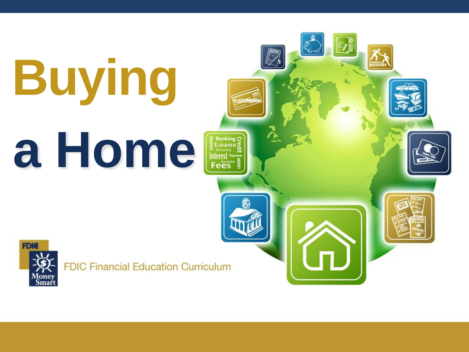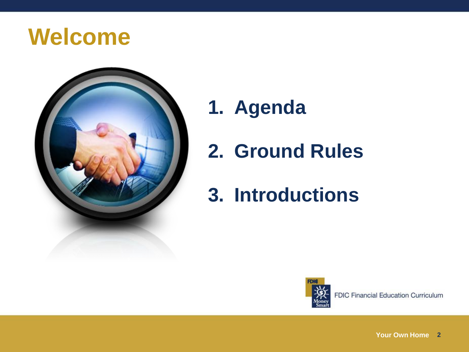#### **Welcome**



- **1. Agenda**
- **2. Ground Rules**
- **3. Introductions**



**Your Own Home 2**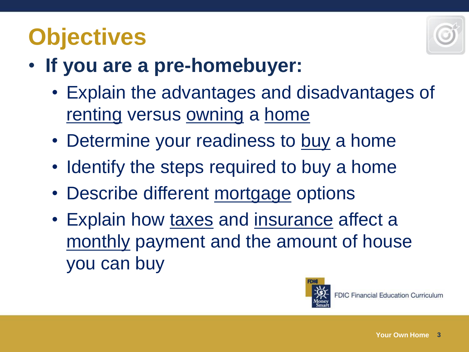# **Objectives**



- **If you are a pre-homebuyer:**
	- Explain the advantages and disadvantages of renting versus owning a home
	- Determine your readiness to buy a home
	- Identify the steps required to buy a home
	- Describe different mortgage options
	- Explain how taxes and insurance affect a monthly payment and the amount of house you can buy

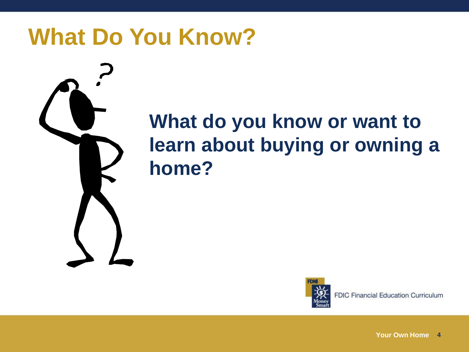### **What Do You Know?**



#### **What do you know or want to learn about buying or owning a home?**



**FDIC Financial Education Curriculum**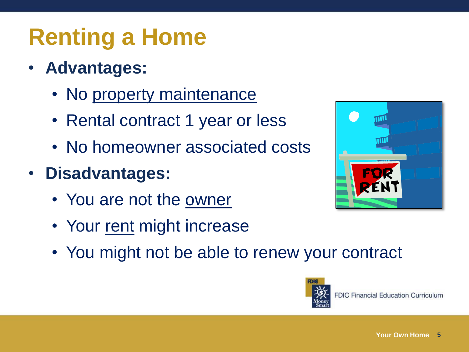# **Renting a Home**

- **Advantages:**
	- No property maintenance
	- Rental contract 1 year or less
	- No homeowner associated costs
- **Disadvantages:**
	- You are not the owner
	- Your rent might increase
	- You might not be able to renew your contract



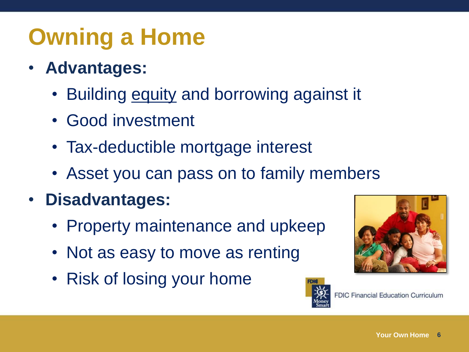# **Owning a Home**

- **Advantages:**
	- Building equity and borrowing against it
	- Good investment
	- Tax-deductible mortgage interest
	- Asset you can pass on to family members
- **Disadvantages:**
	- Property maintenance and upkeep
	- Not as easy to move as renting
	- Risk of losing your home



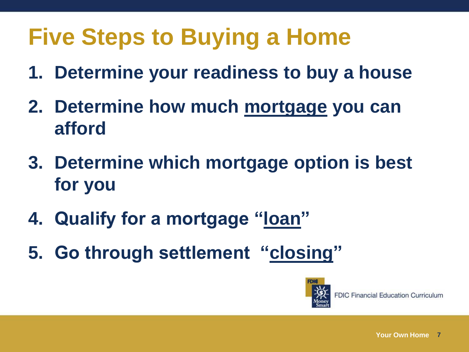# **Five Steps to Buying a Home**

- **1. Determine your readiness to buy a house**
- **2. Determine how much mortgage you can afford**
- **3. Determine which mortgage option is best for you**
- **4. Qualify for a mortgage "loan"**
- **5. Go through settlement "closing"**

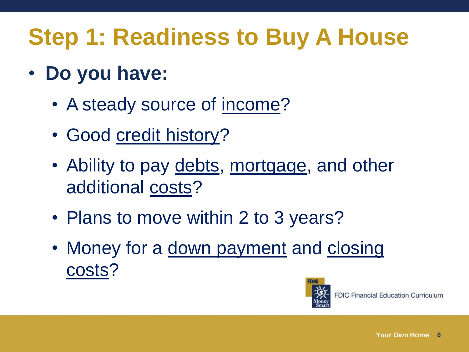# **Step 1: Readiness to Buy A House**

- **Do you have:**
	- A steady source of income?
	- Good credit history?
	- Ability to pay debts, mortgage, and other additional costs?
	- Plans to move within 2 to 3 years?
	- Money for a down payment and closing costs?

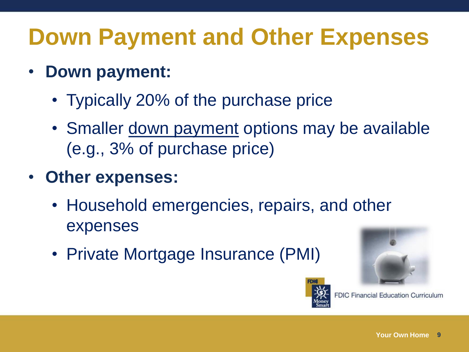# **Down Payment and Other Expenses**

- **Down payment:**
	- Typically 20% of the purchase price
	- Smaller down payment options may be available (e.g., 3% of purchase price)
- **Other expenses:**
	- Household emergencies, repairs, and other expenses
	- Private Mortgage Insurance (PMI)





**FDIC Financial Education Curriculum**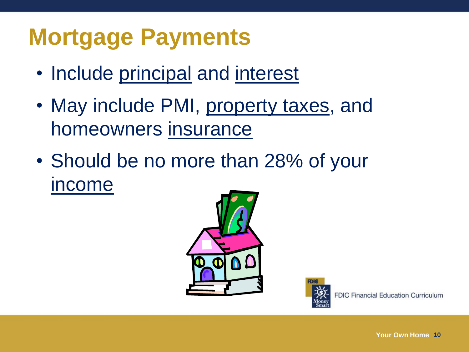## **Mortgage Payments**

- Include principal and interest
- May include PMI, property taxes, and homeowners insurance
- Should be no more than 28% of your income



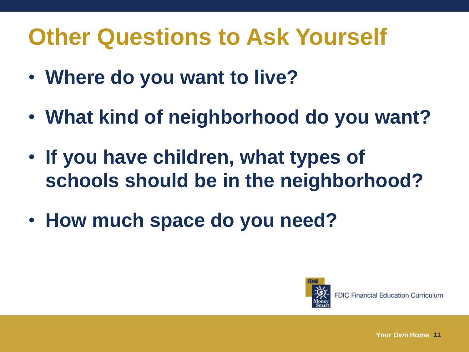## **Other Questions to Ask Yourself**

- **Where do you want to live?**
- **What kind of neighborhood do you want?**
- **If you have children, what types of schools should be in the neighborhood?**
- **How much space do you need?**

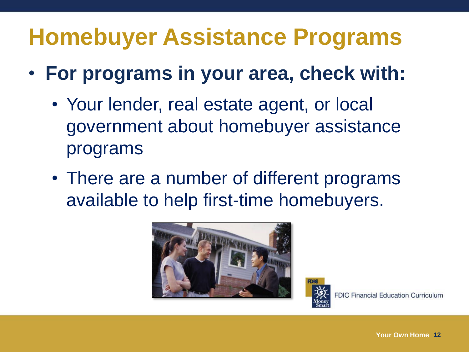## **Homebuyer Assistance Programs**

- **For programs in your area, check with:**
	- Your lender, real estate agent, or local government about homebuyer assistance programs
	- There are a number of different programs available to help first-time homebuyers.



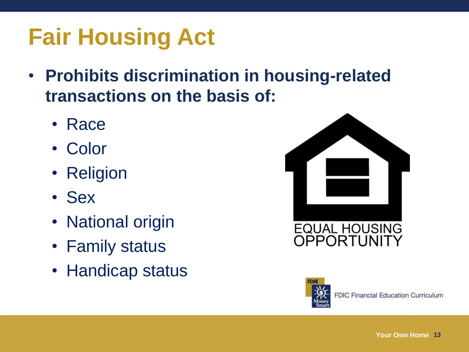# **Fair Housing Act**

- **Prohibits discrimination in housing-related transactions on the basis of:**
	- Race
	- Color
	- Religion
	- Sex
	- National origin
	- Family status
	- Handicap status



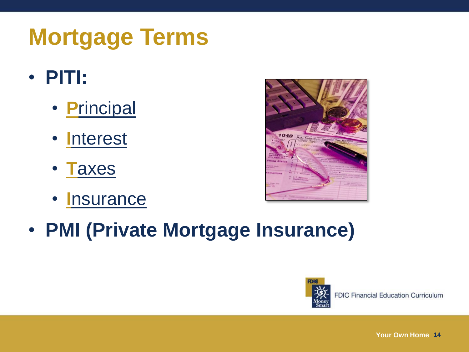# **Mortgage Terms**

- **PITI:**
	- **P**rincipal
	- **I**nterest
	- **T**axes
	- **I**nsurance



• **PMI (Private Mortgage Insurance)**

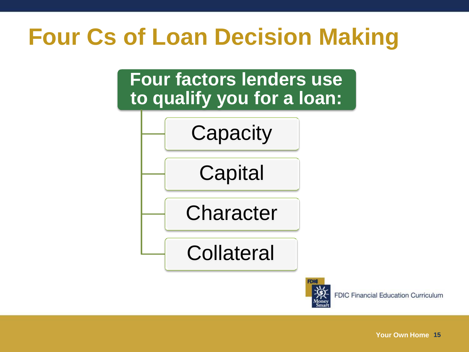## **Four Cs of Loan Decision Making**

**Four factors lenders use to qualify you for a loan:**





**FDIC Financial Education Curriculum**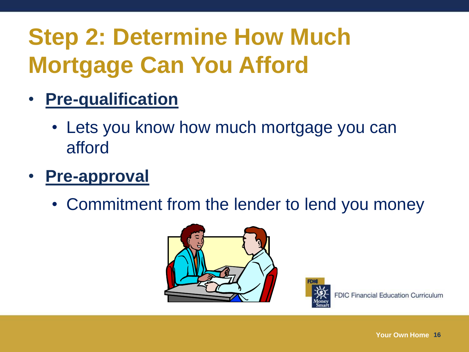# **Step 2: Determine How Much Mortgage Can You Afford**

- **Pre-qualification**
	- Lets you know how much mortgage you can afford
- **Pre-approval**
	- Commitment from the lender to lend you money



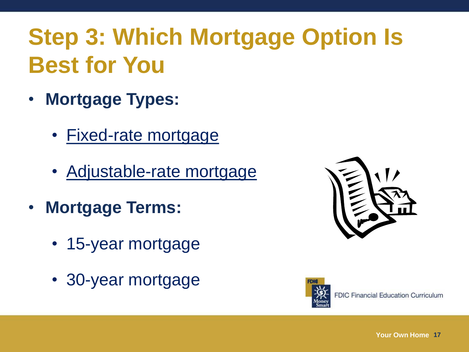# **Step 3: Which Mortgage Option Is Best for You**

- **Mortgage Types:**
	- Fixed-rate mortgage
	- Adjustable-rate mortgage
- **Mortgage Terms:**
	- 15-year mortgage
	- 30-year mortgage



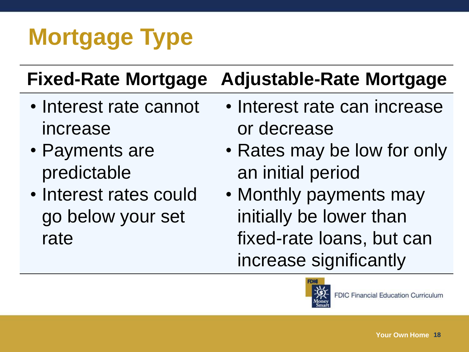# **Mortgage Type**

#### **Fixed-Rate Mortgage Adjustable-Rate Mortgage**

- Interest rate cannot increase
- Payments are predictable
- Interest rates could go below your set rate
- Interest rate can increase or decrease
- Rates may be low for only an initial period
- Monthly payments may initially be lower than fixed-rate loans, but can increase significantly

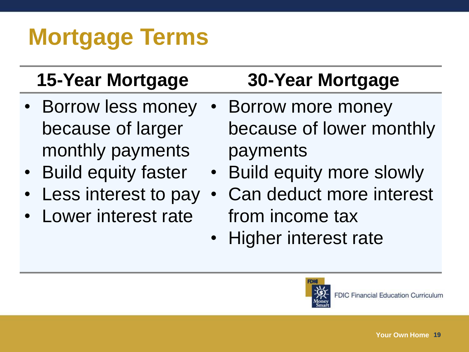# **Mortgage Terms**

- Borrow less money because of larger monthly payments
- Build equity faster
- Less interest to pay
- Lower interest rate

#### **15-Year Mortgage 30-Year Mortgage**

- Borrow more money because of lower monthly payments
- Build equity more slowly
- Can deduct more interest from income tax
- Higher interest rate

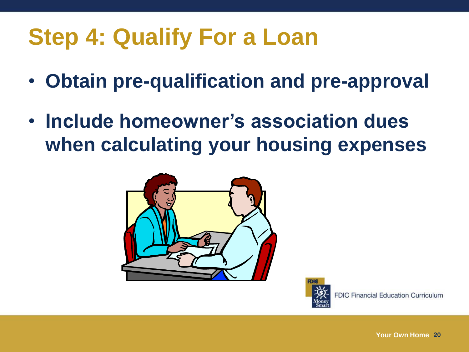# **Step 4: Qualify For a Loan**

- **Obtain pre-qualification and pre-approval**
- **Include homeowner's association dues when calculating your housing expenses**



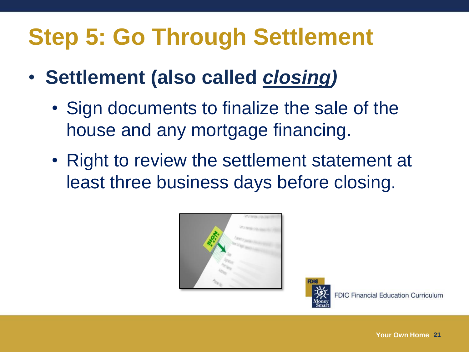# **Step 5: Go Through Settlement**

- **Settlement (also called** *closing)*
	- Sign documents to finalize the sale of the house and any mortgage financing.
	- Right to review the settlement statement at least three business days before closing.



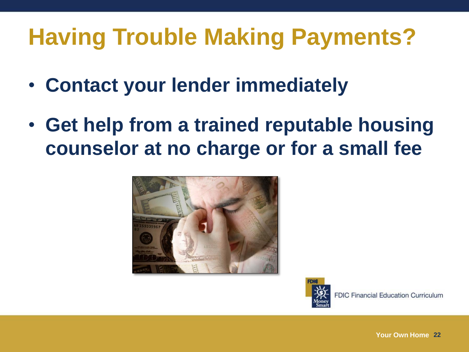# **Having Trouble Making Payments?**

- **Contact your lender immediately**
- **Get help from a trained reputable housing counselor at no charge or for a small fee**